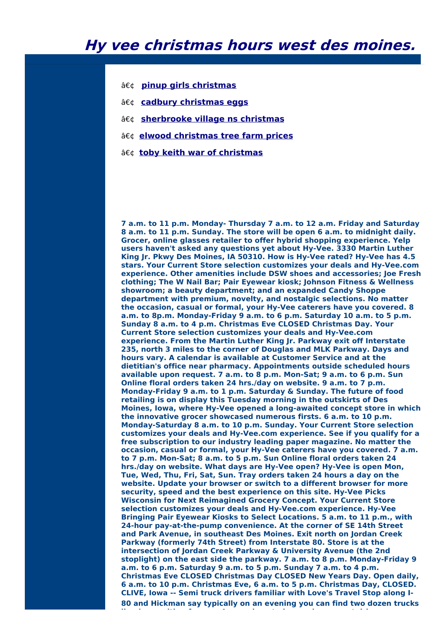- **pinup girls [christmas](http://foto-ms.pl/detail/news/599453/chrismas/)**
- **cadbury [christmas](http://foto-ms.pl/detail/news/882657/chrismas/) eggs**
- **[sherbrooke](http://foto-ms.pl/detail/news/030125/chrismas/) village ns christmas**
- **elwood [christmas](http://foto-ms.pl/detail/news/354248/chrismas/) tree farm prices**
- **a€¢ toby keith war of [christmas](http://foto-ms.pl/detail/news/564949/chrismas/)**

**7 a.m. to 11 p.m. Monday- Thursday 7 a.m. to 12 a.m. Friday and Saturday 8 a.m. to 11 p.m. Sunday. The store will be open 6 a.m. to midnight daily. Grocer, online glasses retailer to offer hybrid shopping experience. Yelp users haven't asked any questions yet about Hy-Vee. 3330 Martin Luther King Jr. Pkwy Des Moines, IA 50310. How is Hy-Vee rated? Hy-Vee has 4.5 stars. Your Current Store selection customizes your deals and Hy-Vee.com experience. Other amenities include DSW shoes and accessories; Joe Fresh clothing; The W Nail Bar; Pair Eyewear kiosk; Johnson Fitness & Wellness showroom; a beauty department; and an expanded Candy Shoppe department with premium, novelty, and nostalgic selections. No matter the occasion, casual or formal, your Hy-Vee caterers have you covered. 8 a.m. to 8p.m. Monday-Friday 9 a.m. to 6 p.m. Saturday 10 a.m. to 5 p.m. Sunday 8 a.m. to 4 p.m. Christmas Eve CLOSED Christmas Day. Your Current Store selection customizes your deals and Hy-Vee.com experience. From the Martin Luther King Jr. Parkway exit off Interstate 235, north 3 miles to the corner of Douglas and MLK Parkway. Days and hours vary. A calendar is available at Customer Service and at the dietitian's office near pharmacy. Appointments outside scheduled hours available upon request. 7 a.m. to 8 p.m. Mon-Sat; 9 a.m. to 6 p.m. Sun Online floral orders taken 24 hrs./day on website. 9 a.m. to 7 p.m. Monday-Friday 9 a.m. to 1 p.m. Saturday & Sunday. The future of food retailing is on display this Tuesday morning in the outskirts of Des Moines, Iowa, where Hy-Vee opened a long-awaited concept store in which the innovative grocer showcased numerous firsts. 6 a.m. to 10 p.m. Monday-Saturday 8 a.m. to 10 p.m. Sunday. Your Current Store selection customizes your deals and Hy-Vee.com experience. See if you qualify for a free subscription to our industry leading paper magazine. No matter the occasion, casual or formal, your Hy-Vee caterers have you covered. 7 a.m. to 7 p.m. Mon-Sat; 8 a.m. to 5 p.m. Sun Online floral orders taken 24 hrs./day on website. What days are Hy-Vee open? Hy-Vee is open Mon, Tue, Wed, Thu, Fri, Sat, Sun. Tray orders taken 24 hours a day on the website. Update your browser or switch to a different browser for more security, speed and the best experience on this site. Hy-Vee Picks Wisconsin for Next Reimagined Grocery Concept. Your Current Store selection customizes your deals and Hy-Vee.com experience. Hy-Vee Bringing Pair Eyewear Kiosks to Select Locations. 5 a.m. to 11 p.m., with 24-hour pay-at-the-pump convenience. At the corner of SE 14th Street and Park Avenue, in southeast Des Moines. Exit north on Jordan Creek Parkway (formerly 74th Street) from Interstate 80. Store is at the intersection of Jordan Creek Parkway & University Avenue (the 2nd stoplight) on the east side the parkway. 7 a.m. to 8 p.m. Monday-Friday 9 a.m. to 6 p.m. Saturday 9 a.m. to 5 p.m. Sunday 7 a.m. to 4 p.m. Christmas Eve CLOSED Christmas Day CLOSED New Years Day. Open daily, 6 a.m. to 10 p.m. Christmas Eve, 6 a.m. to 5 p.m. Christmas Day, CLOSED. CLIVE, Iowa -- Semi truck drivers familiar with Love's Travel Stop along I-80 and Hickman say typically on an evening you can find two dozen trucks lined up waiting for gas. A near deserted area shows most drivers are**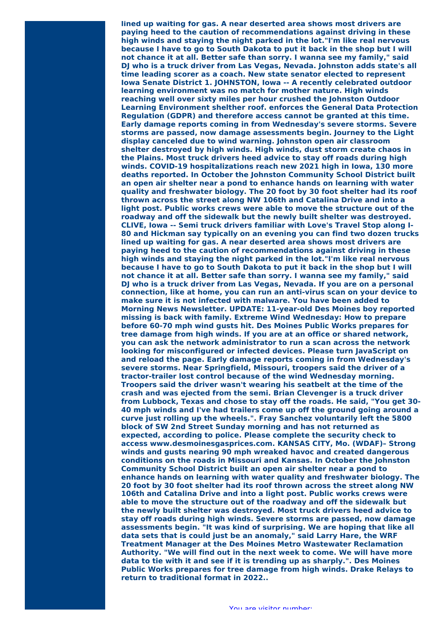**lined up waiting for gas. A near deserted area shows most drivers are paying heed to the caution of recommendations against driving in these high winds and staying the night parked in the lot."I'm like real nervous because I have to go to South Dakota to put it back in the shop but I will not chance it at all. Better safe than sorry. I wanna see my family," said DJ who is a truck driver from Las Vegas, Nevada. Johnston adds state's all time leading scorer as a coach. New state senator elected to represent Iowa Senate District 1. JOHNSTON, Iowa -- A recently celebrated outdoor learning environment was no match for mother nature. High winds reaching well over sixty miles per hour crushed the Johnston Outdoor Learning Environment shelther roof. enforces the General Data Protection Regulation (GDPR) and therefore access cannot be granted at this time. Early damage reports coming in from Wednesday's severe storms. Severe storms are passed, now damage assessments begin. Journey to the Light display canceled due to wind warning. Johnston open air classroom shelter destroyed by high winds. High winds, dust storm create chaos in the Plains. Most truck drivers heed advice to stay off roads during high winds. COVID-19 hospitalizations reach new 2021 high in Iowa, 130 more deaths reported. In October the Johnston Community School District built an open air shelter near a pond to enhance hands on learning with water quality and freshwater biology. The 20 foot by 30 foot shelter had its roof thrown across the street along NW 106th and Catalina Drive and into a light post. Public works crews were able to move the structure out of the roadway and off the sidewalk but the newly built shelter was destroyed. CLIVE, Iowa -- Semi truck drivers familiar with Love's Travel Stop along I-80 and Hickman say typically on an evening you can find two dozen trucks lined up waiting for gas. A near deserted area shows most drivers are paying heed to the caution of recommendations against driving in these high winds and staying the night parked in the lot."I'm like real nervous because I have to go to South Dakota to put it back in the shop but I will not chance it at all. Better safe than sorry. I wanna see my family," said DJ who is a truck driver from Las Vegas, Nevada. If you are on a personal connection, like at home, you can run an anti-virus scan on your device to make sure it is not infected with malware. You have been added to Morning News Newsletter. UPDATE: 11-year-old Des Moines boy reported missing is back with family. Extreme Wind Wednesday: How to prepare before 60-70 mph wind gusts hit. Des Moines Public Works prepares for tree damage from high winds. If you are at an office or shared network, you can ask the network administrator to run a scan across the network looking for misconfigured or infected devices. Please turn JavaScript on and reload the page. Early damage reports coming in from Wednesday's severe storms. Near Springfield, Missouri, troopers said the driver of a tractor-trailer lost control because of the wind Wednesday morning. Troopers said the driver wasn't wearing his seatbelt at the time of the crash and was ejected from the semi. Brian Clevenger is a truck driver from Lubbock, Texas and chose to stay off the roads. He said, "You get 30- 40 mph winds and I've had trailers come up off the ground going around a curve just rolling up the wheels.". Fray Sanchez voluntarily left the 5800 block of SW 2nd Street Sunday morning and has not returned as expected, according to police. Please complete the security check to access www.desmoinesgasprices.com. KANSAS CITY, Mo. (WDAF)– Strong winds and gusts nearing 90 mph wreaked havoc and created dangerous conditions on the roads in Missouri and Kansas. In October the Johnston Community School District built an open air shelter near a pond to enhance hands on learning with water quality and freshwater biology. The 20 foot by 30 foot shelter had its roof thrown across the street along NW 106th and Catalina Drive and into a light post. Public works crews were able to move the structure out of the roadway and off the sidewalk but the newly built shelter was destroyed. Most truck drivers heed advice to stay off roads during high winds. Severe storms are passed, now damage assessments begin. "It was kind of surprising. We are hoping that like all data sets that is could just be an anomaly," said Larry Hare, the WRF Treatment Manager at the Des Moines Metro Wastewater Reclamation Authority. "We will find out in the next week to come. We will have more data to tie with it and see if it is trending up as sharply.". Des Moines Public Works prepares for tree damage from high winds. Drake Relays to return to traditional format in 2022..**